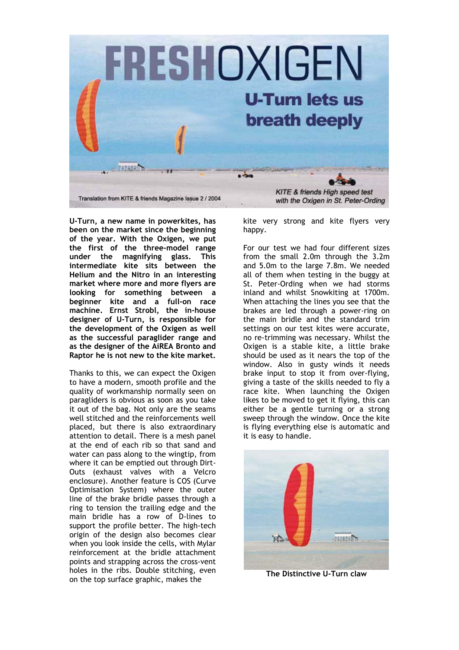

**U-Turn, a new name in powerkites, has been on the market since the beginning of the year. With the Oxigen, we put the first of the three-model range under the magnifying glass. This intermediate kite sits between the Helium and the Nitro in an interesting market where more and more flyers are looking for something between a beginner kite and a full-on race machine. Ernst Strobl, the in-house designer of U-Turn, is responsible for the development of the Oxigen as well as the successful paraglider range and as the designer of the AiREA Bronto and Raptor he is not new to the kite market.** 

Thanks to this, we can expect the Oxigen to have a modern, smooth profile and the quality of workmanship normally seen on paragliders is obvious as soon as you take it out of the bag. Not only are the seams well stitched and the reinforcements well placed, but there is also extraordinary attention to detail. There is a mesh panel at the end of each rib so that sand and water can pass along to the wingtip, from where it can be emptied out through Dirt-Outs (exhaust valves with a Velcro enclosure). Another feature is COS (Curve Optimisation System) where the outer line of the brake bridle passes through a ring to tension the trailing edge and the main bridle has a row of D-lines to support the profile better. The high-tech origin of the design also becomes clear when you look inside the cells, with Mylar reinforcement at the bridle attachment points and strapping across the cross-vent holes in the ribs. Double stitching, even on the top surface graphic, makes the

kite very strong and kite flyers very happy.

For our test we had four different sizes from the small 2.0m through the 3.2m and 5.0m to the large 7.8m. We needed all of them when testing in the buggy at St. Peter-Ording when we had storms inland and whilst Snowkiting at 1700m. When attaching the lines you see that the brakes are led through a power-ring on the main bridle and the standard trim settings on our test kites were accurate, no re-trimming was necessary. Whilst the Oxigen is a stable kite, a little brake should be used as it nears the top of the window. Also in gusty winds it needs brake input to stop it from over-flying, giving a taste of the skills needed to fly a race kite. When launching the Oxigen likes to be moved to get it flying, this can either be a gentle turning or a strong sweep through the window. Once the kite is flying everything else is automatic and it is easy to handle.



**The Distinctive U-Turn claw**